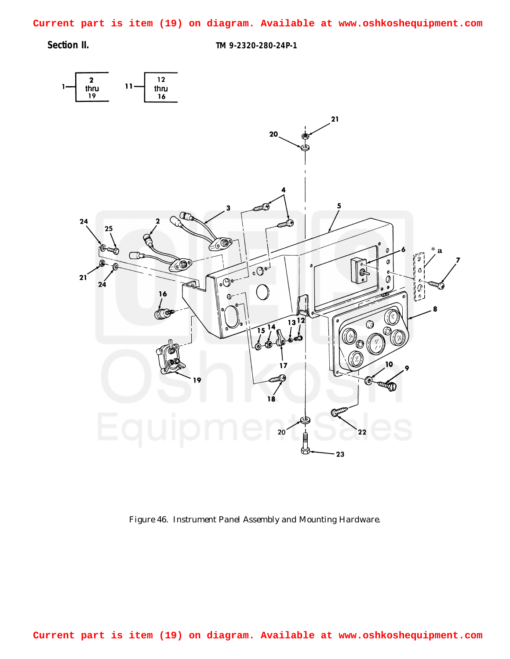<span id="page-0-0"></span>**Current part is item (19) on diagram. Available at www.oshkoshequipment.com**

**Section II. TM 9-2320-280-24P-1**



*Figure 46. Instrument Panel Assembly and Mounting Hardware.*

**Current part is item (19) on diagram. Available at www.oshkoshequipment.com**